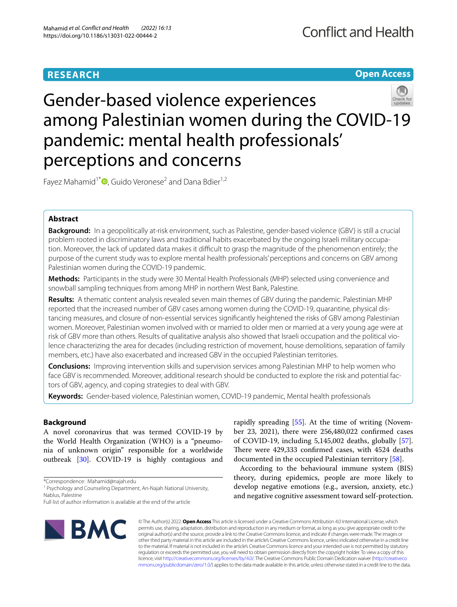# **RESEARCH**

**Open Access**

# Gender-based violence experiences among Palestinian women during the COVID-19 pandemic: mental health professionals' perceptions and concerns

Fayez Mahamid<sup>1[\\*](http://orcid.org/0000-0001-8050-4783)</sup> $\bullet$ , Guido Veronese<sup>2</sup> and Dana Bdier<sup>1,2</sup>

# **Abstract**

**Background:** In a geopolitically at-risk environment, such as Palestine, gender-based violence (GBV) is still a crucial problem rooted in discriminatory laws and traditional habits exacerbated by the ongoing Israeli military occupation. Moreover, the lack of updated data makes it difficult to grasp the magnitude of the phenomenon entirely; the purpose of the current study was to explore mental health professionals' perceptions and concerns on GBV among Palestinian women during the COVID-19 pandemic.

**Methods:** Participants in the study were 30 Mental Health Professionals (MHP) selected using convenience and snowball sampling techniques from among MHP in northern West Bank, Palestine.

**Results:** A thematic content analysis revealed seven main themes of GBV during the pandemic. Palestinian MHP reported that the increased number of GBV cases among women during the COVID-19, quarantine, physical distancing measures, and closure of non-essential services signifcantly heightened the risks of GBV among Palestinian women. Moreover, Palestinian women involved with or married to older men or married at a very young age were at risk of GBV more than others. Results of qualitative analysis also showed that Israeli occupation and the political violence characterizing the area for decades (including restriction of movement, house demolitions, separation of family members, etc.) have also exacerbated and increased GBV in the occupied Palestinian territories.

**Conclusions:** Improving intervention skills and supervision services among Palestinian MHP to help women who face GBV is recommended. Moreover, additional research should be conducted to explore the risk and potential factors of GBV, agency, and coping strategies to deal with GBV.

**Keywords:** Gender-based violence, Palestinian women, COVID-19 pandemic, Mental health professionals

# **Background**

A novel coronavirus that was termed COVID-19 by the World Health Organization (WHO) is a "pneumonia of unknown origin" responsible for a worldwide outbreak [\[30](#page-8-0)]. COVID-19 is highly contagious and

\*Correspondence: Mahamid@najah.edu

<sup>1</sup> Psychology and Counseling Department, An-Najah National University, Nablus, Palestine

rapidly spreading [[55\]](#page-9-0). At the time of writing (November 23, 2021), there were 256,480,022 confrmed cases of COVID-19, including 5,145,002 deaths, globally [\[57](#page-9-1)]. There were 429,333 confirmed cases, with 4524 deaths documented in the occupied Palestinian territory [\[58](#page-9-2)].

According to the behavioural immune system (BIS) theory, during epidemics, people are more likely to develop negative emotions (e.g., aversion, anxiety, etc.) and negative cognitive assessment toward self-protection.



© The Author(s) 2022. **Open Access** This article is licensed under a Creative Commons Attribution 4.0 International License, which permits use, sharing, adaptation, distribution and reproduction in any medium or format, as long as you give appropriate credit to the original author(s) and the source, provide a link to the Creative Commons licence, and indicate if changes were made. The images or other third party material in this article are included in the article's Creative Commons licence, unless indicated otherwise in a credit line to the material. If material is not included in the article's Creative Commons licence and your intended use is not permitted by statutory regulation or exceeds the permitted use, you will need to obtain permission directly from the copyright holder. To view a copy of this licence, visit [http://creativecommons.org/licenses/by/4.0/.](http://creativecommons.org/licenses/by/4.0/) The Creative Commons Public Domain Dedication waiver ([http://creativeco](http://creativecommons.org/publicdomain/zero/1.0/) [mmons.org/publicdomain/zero/1.0/](http://creativecommons.org/publicdomain/zero/1.0/)) applies to the data made available in this article, unless otherwise stated in a credit line to the data.

Full list of author information is available at the end of the article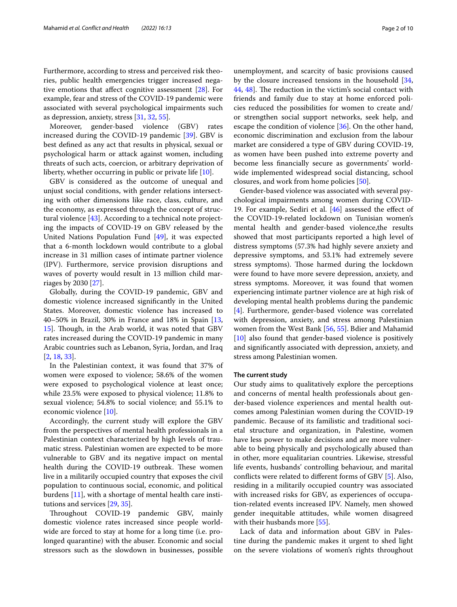Furthermore, according to stress and perceived risk theories, public health emergencies trigger increased negative emotions that afect cognitive assessment [[28\]](#page-8-1). For example, fear and stress of the COVID-19 pandemic were associated with several psychological impairments such as depression, anxiety, stress [\[31,](#page-8-2) [32](#page-8-3), [55\]](#page-9-0).

Moreover, gender-based violence (GBV) rates increased during the COVID-19 pandemic [\[39\]](#page-8-4). GBV is best defned as any act that results in physical, sexual or psychological harm or attack against women, including threats of such acts, coercion, or arbitrary deprivation of liberty, whether occurring in public or private life [\[10](#page-7-0)].

GBV is considered as the outcome of unequal and unjust social conditions, with gender relations intersecting with other dimensions like race, class, culture, and the economy, as expressed through the concept of structural violence [[43\]](#page-8-5). According to a technical note projecting the impacts of COVID-19 on GBV released by the United Nations Population Fund [[49\]](#page-8-6), it was expected that a 6-month lockdown would contribute to a global increase in 31 million cases of intimate partner violence (IPV). Furthermore, service provision disruptions and waves of poverty would result in 13 million child marriages by 2030 [\[27\]](#page-8-7).

Globally, during the COVID-19 pandemic, GBV and domestic violence increased signifcantly in the United States. Moreover, domestic violence has increased to 40–50% in Brazil, 30% in France and 18% in Spain [\[13](#page-8-8), [15\]](#page-8-9). Though, in the Arab world, it was noted that GBV rates increased during the COVID-19 pandemic in many Arabic countries such as Lebanon, Syria, Jordan, and Iraq [[2,](#page-7-1) [18](#page-8-10), [33\]](#page-8-11).

In the Palestinian context, it was found that 37% of women were exposed to violence; 58.6% of the women were exposed to psychological violence at least once; while 23.5% were exposed to physical violence; 11.8% to sexual violence; 54.8% to social violence; and 55.1% to economic violence [\[10](#page-7-0)].

Accordingly, the current study will explore the GBV from the perspectives of mental health professionals in a Palestinian context characterized by high levels of traumatic stress. Palestinian women are expected to be more vulnerable to GBV and its negative impact on mental health during the COVID-19 outbreak. These women live in a militarily occupied country that exposes the civil population to continuous social, economic, and political burdens [[11\]](#page-8-12), with a shortage of mental health care institutions and services [\[29,](#page-8-13) [35](#page-8-14)].

Throughout COVID-19 pandemic GBV, mainly domestic violence rates increased since people worldwide are forced to stay at home for a long time (i.e. prolonged quarantine) with the abuser. Economic and social stressors such as the slowdown in businesses, possible

unemployment, and scarcity of basic provisions caused by the closure increased tensions in the household [[34](#page-8-15), [44,](#page-8-16) [48\]](#page-8-17). The reduction in the victim's social contact with friends and family due to stay at home enforced policies reduced the possibilities for women to create and/ or strengthen social support networks, seek help, and escape the condition of violence [\[36\]](#page-8-18). On the other hand, economic discrimination and exclusion from the labour market are considered a type of GBV during COVID-19, as women have been pushed into extreme poverty and become less fnancially secure as governments' worldwide implemented widespread social distancing, school closures, and work from home policies [[50\]](#page-8-19).

Gender-based violence was associated with several psychological impairments among women during COVID-19. For example, Sediri et al. [\[46\]](#page-8-20) assessed the efect of the COVID-19-related lockdown on Tunisian women's mental health and gender-based violence,the results showed that most participants reported a high level of distress symptoms (57.3% had highly severe anxiety and depressive symptoms, and 53.1% had extremely severe stress symptoms). Those harmed during the lockdown were found to have more severe depression, anxiety, and stress symptoms. Moreover, it was found that women experiencing intimate partner violence are at high risk of developing mental health problems during the pandemic [[4\]](#page-7-2). Furthermore, gender-based violence was correlated with depression, anxiety, and stress among Palestinian women from the West Bank [[56,](#page-9-3) [55](#page-9-0)]. Bdier and Mahamid [[10\]](#page-7-0) also found that gender-based violence is positively and signifcantly associated with depression, anxiety, and stress among Palestinian women.

#### **The current study**

Our study aims to qualitatively explore the perceptions and concerns of mental health professionals about gender-based violence experiences and mental health outcomes among Palestinian women during the COVID-19 pandemic. Because of its familistic and traditional societal structure and organization, in Palestine, women have less power to make decisions and are more vulnerable to being physically and psychologically abused than in other, more equalitarian countries. Likewise, stressful life events, husbands' controlling behaviour, and marital conficts were related to diferent forms of GBV [[5\]](#page-7-3). Also, residing in a militarily occupied country was associated with increased risks for GBV, as experiences of occupation-related events increased IPV. Namely, men showed gender inequitable attitudes, while women disagreed with their husbands more [\[55\]](#page-9-0).

Lack of data and information about GBV in Palestine during the pandemic makes it urgent to shed light on the severe violations of women's rights throughout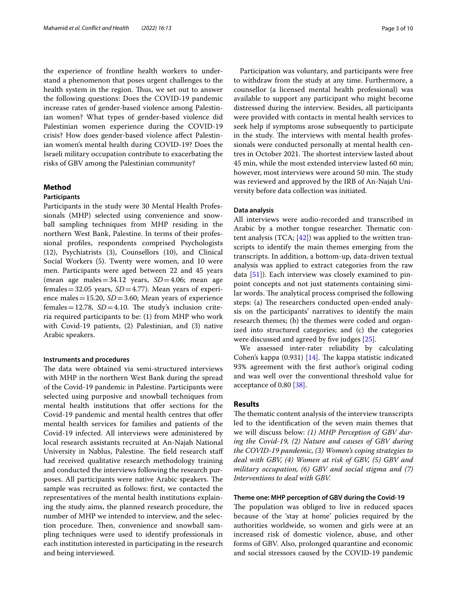the experience of frontline health workers to understand a phenomenon that poses urgent challenges to the health system in the region. Thus, we set out to answer the following questions: Does the COVID-19 pandemic increase rates of gender-based violence among Palestinian women? What types of gender-based violence did Palestinian women experience during the COVID-19 crisis? How does gender-based violence afect Palestinian women's mental health during COVID-19? Does the Israeli military occupation contribute to exacerbating the risks of GBV among the Palestinian community?

#### **Method**

#### **Participants**

Participants in the study were 30 Mental Health Professionals (MHP) selected using convenience and snowball sampling techniques from MHP residing in the northern West Bank, Palestine. In terms of their professional profles, respondents comprised Psychologists (12), Psychiatrists (3), Counsellors (10), and Clinical Social Workers (5). Twenty were women, and 10 were men. Participants were aged between 22 and 45 years (mean age males=34.12 years, *SD*=4.06; mean age females =  $32.05$  years,  $SD = 4.77$ ). Mean years of experience males =  $15.20$ ,  $SD = 3.60$ ; Mean years of experience females =  $12.78$ ,  $SD = 4.10$ . The study's inclusion criteria required participants to be: (1) from MHP who work with Covid-19 patients, (2) Palestinian, and (3) native Arabic speakers.

#### **Instruments and procedures**

The data were obtained via semi-structured interviews with MHP in the northern West Bank during the spread of the Covid-19 pandemic in Palestine. Participants were selected using purposive and snowball techniques from mental health institutions that offer sections for the Covid-19 pandemic and mental health centres that offer mental health services for families and patients of the Covid-19 infected. All interviews were administered by local research assistants recruited at An-Najah National University in Nablus, Palestine. The field research staff had received qualitative research methodology training and conducted the interviews following the research purposes. All participants were native Arabic speakers. The sample was recruited as follows: frst, we contacted the representatives of the mental health institutions explaining the study aims, the planned research procedure, the number of MHP we intended to interview, and the selection procedure. Then, convenience and snowball sampling techniques were used to identify professionals in each institution interested in participating in the research and being interviewed.

Participation was voluntary, and participants were free to withdraw from the study at any time. Furthermore, a counsellor (a licensed mental health professional) was available to support any participant who might become distressed during the interview. Besides, all participants were provided with contacts in mental health services to seek help if symptoms arose subsequently to participate in the study. The interviews with mental health professionals were conducted personally at mental health centres in October 2021. The shortest interview lasted about 45 min, while the most extended interview lasted 60 min; however, most interviews were around 50 min. The study was reviewed and approved by the IRB of An-Najah University before data collection was initiated.

#### **Data analysis**

All interviews were audio-recorded and transcribed in Arabic by a mother tongue researcher. Thematic content analysis (TCA;  $[42]$  $[42]$  $[42]$ ) was applied to the written transcripts to identify the main themes emerging from the transcripts. In addition, a bottom-up, data-driven textual analysis was applied to extract categories from the raw data [[51\]](#page-8-22)). Each interview was closely examined to pinpoint concepts and not just statements containing similar words. The analytical process comprised the following steps: (a) The researchers conducted open-ended analysis on the participants' narratives to identify the main research themes; (b) the themes were coded and organized into structured categories; and (c) the categories were discussed and agreed by five judges [[25](#page-8-23)].

We assessed inter-rater reliability by calculating Cohen's kappa  $(0.931)$  [[14\]](#page-8-24). The kappa statistic indicated 93% agreement with the frst author's original coding and was well over the conventional threshold value for acceptance of 0.80 [[38\]](#page-8-25).

#### **Results**

The thematic content analysis of the interview transcripts led to the identifcation of the seven main themes that we will discuss below: *(1) MHP Perception of GBV during the Covid-19, (2) Nature and causes of GBV during the COVID-19 pandemic, (3) Women's coping strategies to deal with GBV, (4) Women at risk of GBV, (5) GBV and military occupation, (6) GBV and social stigma and (7) Interventions to deal with GBV.*

## **Theme one: MHP perception of GBV during the Covid‑19**

The population was obliged to live in reduced spaces because of the 'stay at home' policies required by the authorities worldwide, so women and girls were at an increased risk of domestic violence, abuse, and other forms of GBV. Also, prolonged quarantine and economic and social stressors caused by the COVID-19 pandemic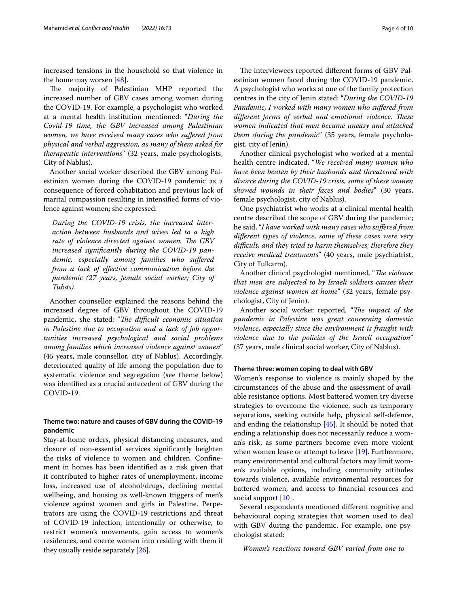increased tensions in the household so that violence in the home may worsen [\[48\]](#page-8-17).

The majority of Palestinian MHP reported the increased number of GBV cases among women during the COVID-19. For example, a psychologist who worked at a mental health institution mentioned: "*During the Covid-19 time, the GBV increased among Palestinian women, we have received many cases who sufered from physical and verbal aggression, as many of them asked for therapeutic interventions*" (32 years, male psychologists, City of Nablus).

Another social worker described the GBV among Palestinian women during the COVID-19 pandemic as a consequence of forced cohabitation and previous lack of marital compassion resulting in intensifed forms of violence against women; she expressed:

*During the COVID-19 crisis, the increased interaction between husbands and wives led to a high*  rate of violence directed against women. The GBV *increased signifcantly during the COVID-19 pandemic, especially among families who sufered from a lack of efective communication before the pandemic (27 years, female social worker; City of Tubas).*

Another counsellor explained the reasons behind the increased degree of GBV throughout the COVID-19 pandemic, she stated: "The difficult economic situation *in Palestine due to occupation and a lack of job opportunities increased psychological and social problems among families which increased violence against women*" (45 years, male counsellor, city of Nablus). Accordingly, deteriorated quality of life among the population due to systematic violence and segregation (see theme below) was identifed as a crucial antecedent of GBV during the COVID-19.

# **Theme two: nature and causes of GBV during the COVID‑19 pandemic**

Stay-at-home orders, physical distancing measures, and closure of non-essential services signifcantly heighten the risks of violence to women and children. Confnement in homes has been identifed as a risk given that it contributed to higher rates of unemployment, income loss, increased use of alcohol/drugs, declining mental wellbeing, and housing as well-known triggers of men's violence against women and girls in Palestine. Perpetrators are using the COVID-19 restrictions and threat of COVID-19 infection, intentionally or otherwise, to restrict women's movements, gain access to women's residences, and coerce women into residing with them if they usually reside separately [[26\]](#page-8-26).

The interviewees reported different forms of GBV Palestinian women faced during the COVID-19 pandemic. A psychologist who works at one of the family protection centres in the city of Jenin stated: "*During the COVID-19 Pandemic, I worked with many women who sufered from*  different forms of verbal and emotional violence. These *women indicated that men became uneasy and attacked them during the pandemic*" (35 years, female psychologist, city of Jenin).

Another clinical psychologist who worked at a mental health centre indicated, "*We received many women who have been beaten by their husbands and threatened with divorce during the COVID-19 crisis, some of these women showed wounds in their faces and bodies*" (30 years, female psychologist, city of Nablus).

One psychiatrist who works at a clinical mental health centre described the scope of GBV during the pandemic; he said, "*I have worked with many cases who sufered from diferent types of violence, some of these cases were very difcult, and they tried to harm themselves; therefore they receive medical treatments*" (40 years, male psychiatrist, City of Tulkarm).

Another clinical psychologist mentioned, "*The violence that men are subjected to by Israeli soldiers causes their violence against women at home*" (32 years, female psychologist, City of Jenin).

Another social worker reported, "The impact of the *pandemic in Palestine was great concerning domestic violence, especially since the environment is fraught with violence due to the policies of the Israeli occupation*" (37 years, male clinical social worker, City of Nablus).

#### **Theme three: women coping to deal with GBV**

Women's response to violence is mainly shaped by the circumstances of the abuse and the assessment of available resistance options. Most battered women try diverse strategies to overcome the violence, such as temporary separations, seeking outside help, physical self-defence, and ending the relationship [[45\]](#page-8-27). It should be noted that ending a relationship does not necessarily reduce a woman's risk, as some partners become even more violent when women leave or attempt to leave [\[19](#page-8-28)]. Furthermore, many environmental and cultural factors may limit women's available options, including community attitudes towards violence, available environmental resources for battered women, and access to fnancial resources and social support [[10\]](#page-7-0).

Several respondents mentioned diferent cognitive and behavioural coping strategies that women used to deal with GBV during the pandemic. For example, one psychologist stated:

*Women's reactions toward GBV varied from one to*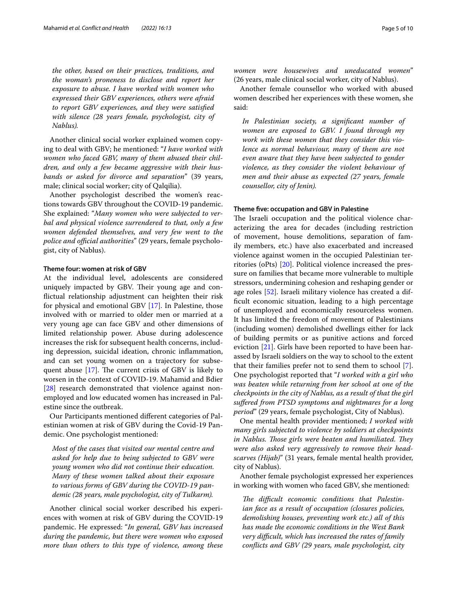*the other, based on their practices, traditions, and the woman's proneness to disclose and report her exposure to abuse. I have worked with women who expressed their GBV experiences, others were afraid to report GBV experiences, and they were satisfed with silence (28 years female, psychologist, city of Nablus).*

Another clinical social worker explained women copying to deal with GBV; he mentioned: "*I have worked with women who faced GBV, many of them abused their children, and only a few became aggressive with their husbands or asked for divorce and separation*" (39 years, male; clinical social worker; city of Qalqilia).

Another psychologist described the women's reactions towards GBV throughout the COVID-19 pandemic. She explained: "*Many women who were subjected to verbal and physical violence surrendered to that, only a few women defended themselves, and very few went to the police and official authorities*" (29 years, female psychologist, city of Nablus).

#### **Theme four: women at risk of GBV**

At the individual level, adolescents are considered uniquely impacted by GBV. Their young age and confictual relationship adjustment can heighten their risk for physical and emotional GBV [\[17](#page-8-29)]. In Palestine, those involved with or married to older men or married at a very young age can face GBV and other dimensions of limited relationship power. Abuse during adolescence increases the risk for subsequent health concerns, including depression, suicidal ideation, chronic infammation, and can set young women on a trajectory for subsequent abuse  $[17]$ . The current crisis of GBV is likely to worsen in the context of COVID-19. Mahamid and Bdier [[28\]](#page-8-1) research demonstrated that violence against nonemployed and low educated women has increased in Palestine since the outbreak.

Our Participants mentioned diferent categories of Palestinian women at risk of GBV during the Covid-19 Pandemic. One psychologist mentioned:

*Most of the cases that visited our mental centre and asked for help due to being subjected to GBV were young women who did not continue their education. Many of these women talked about their exposure to various forms of GBV during the COVID-19 pandemic (28 years, male psychologist, city of Tulkarm).*

Another clinical social worker described his experiences with women at risk of GBV during the COVID-19 pandemic. He expressed: "*In general, GBV has increased during the pandemic, but there were women who exposed more than others to this type of violence, among these*  *women were housewives and uneducated women*" (26 years, male clinical social worker, city of Nablus).

Another female counsellor who worked with abused women described her experiences with these women, she said:

*In Palestinian society, a signifcant number of women are exposed to GBV. I found through my work with these women that they consider this violence as normal behaviour, many of them are not even aware that they have been subjected to gender violence, as they consider the violent behaviour of men and their abuse as expected (27 years, female counsellor, city of Jenin).*

#### **Theme fve: occupation and GBV in Palestine**

The Israeli occupation and the political violence characterizing the area for decades (including restriction of movement, house demolitions, separation of family members, etc.) have also exacerbated and increased violence against women in the occupied Palestinian territories (oPts) [[20\]](#page-8-30). Political violence increased the pressure on families that became more vulnerable to multiple stressors, undermining cohesion and reshaping gender or age roles [[52](#page-8-31)]. Israeli military violence has created a diffcult economic situation, leading to a high percentage of unemployed and economically resourceless women. It has limited the freedom of movement of Palestinians (including women) demolished dwellings either for lack of building permits or as punitive actions and forced eviction [[21](#page-8-32)]. Girls have been reported to have been harassed by Israeli soldiers on the way to school to the extent that their families prefer not to send them to school [\[7](#page-7-4)]. One psychologist reported that "*I worked with a girl who was beaten while returning from her school at one of the checkpoints in the city of Nablus, as a result of that the girl sufered from PTSD symptoms and nightmares for a long period*" (29 years, female psychologist, City of Nablus).

One mental health provider mentioned; *I worked with many girls subjected to violence by soldiers at checkpoints in Nablus. Those girls were beaten and humiliated. They were also asked very aggressively to remove their headscarves (Hijab)*" (31 years, female mental health provider, city of Nablus).

Another female psychologist expressed her experiences in working with women who faced GBV, she mentioned:

The difficult economic conditions that Palestin*ian face as a result of occupation (closures policies, demolishing houses, preventing work etc.) all of this has made the economic conditions in the West Bank very difcult, which has increased the rates of family conficts and GBV (29 years, male psychologist, city*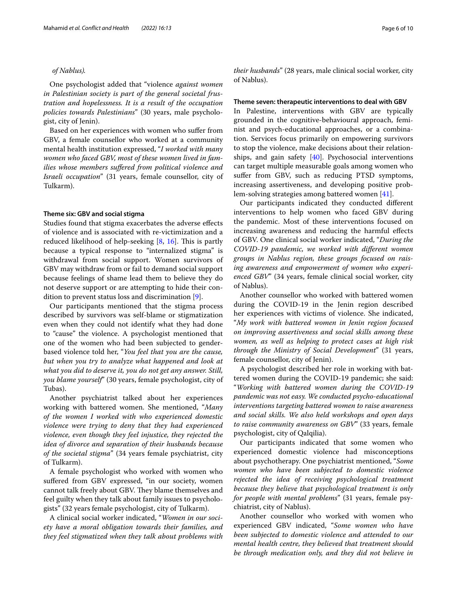#### *of Nablus).*

One psychologist added that "violence *against women in Palestinian society is part of the general societal frustration and hopelessness. It is a result of the occupation policies towards Palestinians*" (30 years, male psychologist, city of Jenin).

Based on her experiences with women who sufer from GBV, a female counsellor who worked at a community mental health institution expressed, "*I worked with many women who faced GBV, most of these women lived in families whose members sufered from political violence and Israeli occupation*" (31 years, female counsellor, city of Tulkarm).

#### **Theme six: GBV and social stigma**

Studies found that stigma exacerbates the adverse efects of violence and is associated with re-victimization and a reduced likelihood of help-seeking  $[8, 16]$  $[8, 16]$  $[8, 16]$  $[8, 16]$ . This is partly because a typical response to "internalized stigma" is withdrawal from social support. Women survivors of GBV may withdraw from or fail to demand social support because feelings of shame lead them to believe they do not deserve support or are attempting to hide their condition to prevent status loss and discrimination [\[9](#page-7-6)].

Our participants mentioned that the stigma process described by survivors was self-blame or stigmatization even when they could not identify what they had done to "cause" the violence. A psychologist mentioned that one of the women who had been subjected to genderbased violence told her, "*You feel that you are the cause, but when you try to analyze what happened and look at what you did to deserve it, you do not get any answer. Still, you blame yourself*" (30 years, female psychologist, city of Tubas).

Another psychiatrist talked about her experiences working with battered women. She mentioned, "*Many of the women I worked with who experienced domestic violence were trying to deny that they had experienced violence, even though they feel injustice, they rejected the idea of divorce and separation of their husbands because of the societal stigma*" (34 years female psychiatrist, city of Tulkarm).

A female psychologist who worked with women who suffered from GBV expressed, "in our society, women cannot talk freely about GBV. They blame themselves and feel guilty when they talk about family issues to psychologists" (32 years female psychologist, city of Tulkarm).

A clinical social worker indicated, "*Women in our society have a moral obligation towards their families, and they feel stigmatized when they talk about problems with*  *their husbands*" (28 years, male clinical social worker, city of Nablus).

#### **Theme seven: therapeutic interventions to deal with GBV**

In Palestine, interventions with GBV are typically grounded in the cognitive-behavioural approach, feminist and psych-educational approaches, or a combination. Services focus primarily on empowering survivors to stop the violence, make decisions about their relationships, and gain safety  $[40]$  $[40]$ . Psychosocial interventions can target multiple measurable goals among women who sufer from GBV, such as reducing PTSD symptoms, increasing assertiveness, and developing positive problem-solving strategies among battered women [\[41](#page-8-35)].

Our participants indicated they conducted diferent interventions to help women who faced GBV during the pandemic. Most of these interventions focused on increasing awareness and reducing the harmful efects of GBV. One clinical social worker indicated, "*During the COVID-19 pandemic, we worked with diferent women groups in Nablus region, these groups focused on raising awareness and empowerment of women who experienced GBV*" (34 years, female clinical social worker, city of Nablus).

Another counsellor who worked with battered women during the COVID-19 in the Jenin region described her experiences with victims of violence. She indicated, "*My work with battered women in Jenin region focused on improving assertiveness and social skills among these women, as well as helping to protect cases at high risk through the Ministry of Social Development*" (31 years, female counsellor, city of Jenin).

A psychologist described her role in working with battered women during the COVID-19 pandemic; she said: "*Working with battered women during the COVID-19 pandemic was not easy. We conducted psycho-educational interventions targeting battered women to raise awareness and social skills. We also held workshops and open days to raise community awareness on GBV*" (33 years, female psychologist, city of Qalqilia).

Our participants indicated that some women who experienced domestic violence had misconceptions about psychotherapy. One psychiatrist mentioned, "*Some women who have been subjected to domestic violence rejected the idea of receiving psychological treatment because they believe that psychological treatment is only for people with mental problems*" (31 years, female psychiatrist, city of Nablus).

Another counsellor who worked with women who experienced GBV indicated, "*Some women who have been subjected to domestic violence and attended to our mental health centre, they believed that treatment should be through medication only, and they did not believe in*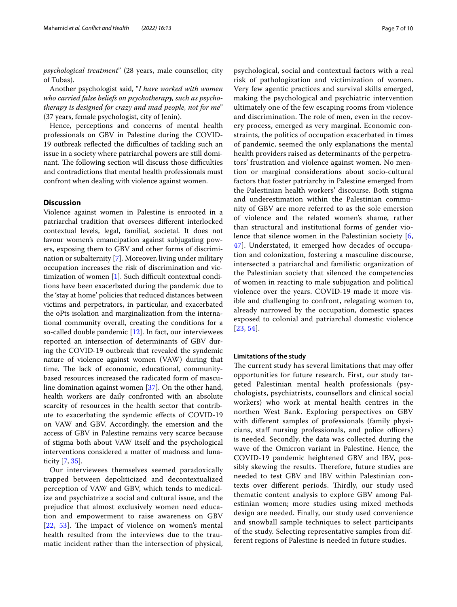*psychological treatment*" (28 years, male counsellor, city of Tubas).

Another psychologist said, "*I have worked with women who carried false beliefs on psychotherapy, such as psychotherapy is designed for crazy and mad people, not for me*" (37 years, female psychologist, city of Jenin).

Hence, perceptions and concerns of mental health professionals on GBV in Palestine during the COVID-19 outbreak reflected the difficulties of tackling such an issue in a society where patriarchal powers are still dominant. The following section will discuss those difficulties and contradictions that mental health professionals must confront when dealing with violence against women.

#### **Discussion**

Violence against women in Palestine is enrooted in a patriarchal tradition that oversees diferent interlocked contextual levels, legal, familial, societal. It does not favour women's emancipation against subjugating powers, exposing them to GBV and other forms of discrimination or subalternity [\[7](#page-7-4)]. Moreover, living under military occupation increases the risk of discrimination and victimization of women  $[1]$  $[1]$ . Such difficult contextual conditions have been exacerbated during the pandemic due to the 'stay at home' policies that reduced distances between victims and perpetrators, in particular, and exacerbated the oPts isolation and marginalization from the international community overall, creating the conditions for a so-called double pandemic  $[12]$  $[12]$  $[12]$ . In fact, our interviewees reported an intersection of determinants of GBV during the COVID-19 outbreak that revealed the syndemic nature of violence against women (VAW) during that time. The lack of economic, educational, communitybased resources increased the radicated form of masculine domination against women [[37\]](#page-8-37). On the other hand, health workers are daily confronted with an absolute scarcity of resources in the health sector that contribute to exacerbating the syndemic efects of COVID-19 on VAW and GBV. Accordingly, the emersion and the access of GBV in Palestine remains very scarce because of stigma both about VAW itself and the psychological interventions considered a matter of madness and lunaticity [[7,](#page-7-4) [35](#page-8-14)].

Our interviewees themselves seemed paradoxically trapped between depoliticized and decontextualized perception of VAW and GBV, which tends to medicalize and psychiatrize a social and cultural issue, and the prejudice that almost exclusively women need education and empowerment to raise awareness on GBV  $[22, 53]$  $[22, 53]$  $[22, 53]$  $[22, 53]$  $[22, 53]$ . The impact of violence on women's mental health resulted from the interviews due to the traumatic incident rather than the intersection of physical, psychological, social and contextual factors with a real risk of pathologization and victimization of women. Very few agentic practices and survival skills emerged, making the psychological and psychiatric intervention ultimately one of the few escaping rooms from violence and discrimination. The role of men, even in the recovery process, emerged as very marginal. Economic constraints, the politics of occupation exacerbated in times of pandemic, seemed the only explanations the mental health providers raised as determinants of the perpetrators' frustration and violence against women. No mention or marginal considerations about socio-cultural factors that foster patriarchy in Palestine emerged from the Palestinian health workers' discourse. Both stigma and underestimation within the Palestinian community of GBV are more referred to as the sole emersion of violence and the related women's shame, rather than structural and institutional forms of gender violence that silence women in the Palestinian society [\[6](#page-7-8), [47\]](#page-8-40). Understated, it emerged how decades of occupation and colonization, fostering a masculine discourse, intersected a patriarchal and familistic organization of the Palestinian society that silenced the competencies of women in reacting to male subjugation and political violence over the years. COVID-19 made it more visible and challenging to confront, relegating women to, already narrowed by the occupation, domestic spaces exposed to colonial and patriarchal domestic violence [[23](#page-8-41), [54](#page-9-4)].

#### **Limitations of the study**

The current study has several limitations that may offer opportunities for future research. First, our study targeted Palestinian mental health professionals (psychologists, psychiatrists, counsellors and clinical social workers) who work at mental health centres in the northen West Bank. Exploring perspectives on GBV with diferent samples of professionals (family physicians, staff nursing professionals, and police officers) is needed. Secondly, the data was collected during the wave of the Omicron variant in Palestine. Hence, the COVID-19 pandemic heightened GBV and IBV, possibly skewing the results. Therefore, future studies are needed to test GBV and IBV within Palestinian contexts over different periods. Thirdly, our study used thematic content analysis to explore GBV among Palestinian women; more studies using mixed methods design are needed. Finally, our study used convenience and snowball sample techniques to select participants of the study. Selecting representative samples from different regions of Palestine is needed in future studies.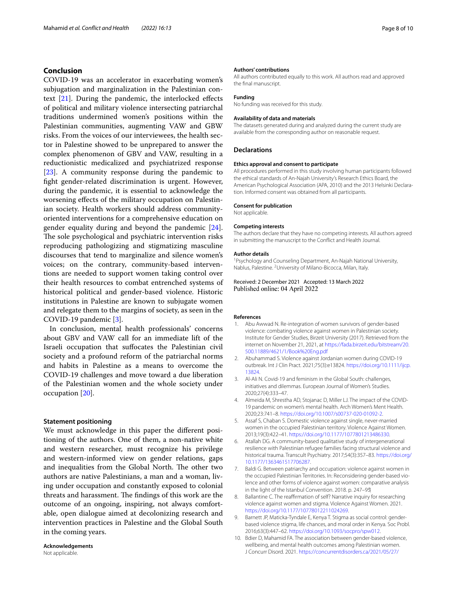## **Conclusion**

COVID-19 was an accelerator in exacerbating women's subjugation and marginalization in the Palestinian context [[21](#page-8-32)]. During the pandemic, the interlocked efects of political and military violence intersecting patriarchal traditions undermined women's positions within the Palestinian communities, augmenting VAW and GBW risks. From the voices of our interviewees, the health sector in Palestine showed to be unprepared to answer the complex phenomenon of GBV and VAW, resulting in a reductionistic medicalized and psychiatrized response [[23\]](#page-8-41). A community response during the pandemic to fght gender-related discrimination is urgent. However, during the pandemic, it is essential to acknowledge the worsening efects of the military occupation on Palestinian society. Health workers should address communityoriented interventions for a comprehensive education on gender equality during and beyond the pandemic [\[24](#page-8-42)]. The sole psychological and psychiatric intervention risks reproducing pathologizing and stigmatizing masculine discourses that tend to marginalize and silence women's voices; on the contrary, community-based interventions are needed to support women taking control over their health resources to combat entrenched systems of historical political and gender-based violence. Historic institutions in Palestine are known to subjugate women and relegate them to the margins of society, as seen in the COVID-19 pandemic [\[3](#page-7-9)].

In conclusion, mental health professionals' concerns about GBV and VAW call for an immediate lift of the Israeli occupation that sufocates the Palestinian civil society and a profound reform of the patriarchal norms and habits in Palestine as a means to overcome the COVID-19 challenges and move toward a due liberation of the Palestinian women and the whole society under occupation [[20\]](#page-8-30).

#### **Statement positioning**

We must acknowledge in this paper the diferent positioning of the authors. One of them, a non-native white and western researcher, must recognize his privilege and western-informed view on gender relations, gaps and inequalities from the Global North. The other two authors are native Palestinians, a man and a woman, living under occupation and constantly exposed to colonial threats and harassment. The findings of this work are the outcome of an ongoing, inspiring, not always comfortable, open dialogue aimed at decolonizing research and intervention practices in Palestine and the Global South in the coming years.

# **Acknowledgements**

#### **Authors' contributions**

All authors contributed equally to this work. All authors read and approved the fnal manuscript.

#### **Funding**

No funding was received for this study.

#### **Availability of data and materials**

The datasets generated during and analyzed during the current study are available from the corresponding author on reasonable request.

## **Declarations**

#### **Ethics approval and consent to participate**

All procedures performed in this study involving human participants followed the ethical standards of An-Najah University's Research Ethics Board, the American Psychological Association (APA, 2010) and the 2013 Helsinki Declaration. Informed consent was obtained from all participants.

#### **Consent for publication**

Not applicable.

#### **Competing interests**

The authors declare that they have no competing interests. All authors agreed in submitting the manuscript to the Confict and Health Journal.

#### **Author details**

<sup>1</sup> Psychology and Counseling Department, An-Najah National University, Nablus, Palestine. <sup>2</sup> University of Milano-Bicocca, Milan, Italy.

Received: 2 December 2021 Accepted: 13 March 2022 Published online: 04 April 2022

#### **References**

- <span id="page-7-7"></span>1. Abu Awwad N. Re-integration of women survivors of gender-based violence: combating violence against women in Palestinian society. Institute for Gender Studies, Birzeit University (2017). Retrieved from the internet on November 21, 2021, at [https://fada.birzeit.edu/bitstream/20.](https://fada.birzeit.edu/bitstream/20.500.11889/4621/1/Book%20Eng.pdf) [500.11889/4621/1/Book%20Eng.pdf](https://fada.birzeit.edu/bitstream/20.500.11889/4621/1/Book%20Eng.pdf)
- <span id="page-7-1"></span>2. Abuhammad S. Violence against Jordanian women during COVID-19 outbreak. Int J Clin Pract. 2021;75(3):e13824. [https://doi.org/10.1111/ijcp.](https://doi.org/10.1111/ijcp.13824) [13824](https://doi.org/10.1111/ijcp.13824).
- <span id="page-7-9"></span>3. Al-Ali N. Covid-19 and feminism in the Global South: challenges, initiatives and dilemmas. European Journal of Women's Studies. 2020;27(4):333–47.
- <span id="page-7-2"></span>Almeida M, Shrestha AD, Stojanac D, Miller LJ. The impact of the COVID-19 pandemic on women's mental health. Arch Women's Ment Health. 2020;23:741–8. <https://doi.org/10.1007/s00737-020-01092-2>.
- <span id="page-7-3"></span>5. Assaf S, Chaban S. Domestic violence against single, never-married women in the occupied Palestinian territory. Violence Against Women. 2013;19(3):422–41. <https://doi.org/10.1177/1077801213486330>.
- <span id="page-7-8"></span>6. Atallah DG. A community-based qualitative study of intergenerational resilience with Palestinian refugee families facing structural violence and historical trauma. Transcult Psychiatry. 2017;54(3):357–83. [https://doi.org/](https://doi.org/10.1177/1363461517706287) [10.1177/1363461517706287](https://doi.org/10.1177/1363461517706287).
- <span id="page-7-4"></span>7. Baldi G. Between patriarchy and occupation: violence against women in the occupied Palestinian Territories. In: Reconsidering gender-based violence and other forms of violence against women: comparative analysis in the light of the Istanbul Convention. 2018. p. 247–95
- <span id="page-7-5"></span>8. Ballantine C. The reaffirmation of self? Narrative inquiry for researching violence against women and stigma. Violence Against Women. 2021. [https://doi.org/10.1177/10778012211024269.](https://doi.org/10.1177/10778012211024269)
- <span id="page-7-6"></span>9. Barnett JP, Maticka-Tyndale E, Kenya T. Stigma as social control: genderbased violence stigma, life chances, and moral order in Kenya. Soc Probl. 2016;63(3):447–62. <https://doi.org/10.1093/socpro/spw012>.
- <span id="page-7-0"></span>10. Bdier D, Mahamid FA. The association between gender-based violence, wellbeing, and mental health outcomes among Palestinian women. J Concurr Disord. 2021. [https://concurrentdisorders.ca/2021/05/27/](https://concurrentdisorders.ca/2021/05/27/the-association-between-gender-based-violence-wellbeing-and-mental-health-outcomes-among-palestinian-women/)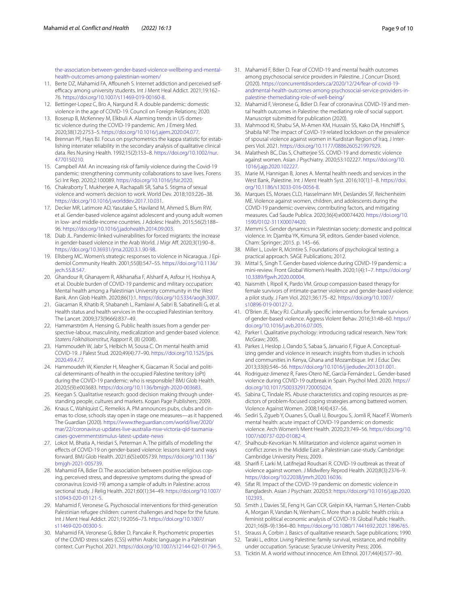[the-association-between-gender-based-violence-wellbeing-and-mental](https://concurrentdisorders.ca/2021/05/27/the-association-between-gender-based-violence-wellbeing-and-mental-health-outcomes-among-palestinian-women/)[health-outcomes-among-palestinian-women/](https://concurrentdisorders.ca/2021/05/27/the-association-between-gender-based-violence-wellbeing-and-mental-health-outcomes-among-palestinian-women/)

- <span id="page-8-12"></span>11. Berte DZ, Mahamid FA, Affouneh S. Internet addiction and perceived selfefficacy among university students. Int J Ment Heal Addict. 2021;19:162-76. [https://doi.org/10.1007/s11469-019-00160-8.](https://doi.org/10.1007/s11469-019-00160-8)
- <span id="page-8-36"></span>12. Bettinger-Lopez C, Bro A, Nargund R. A double pandemic: domestic violence in the age of COVID-19. Council on Foreign Relations; 2020.
- <span id="page-8-8"></span>13. Boserup B, McKenney M, Elkbuli A. Alarming trends in US domestic violence during the COVID-19 pandemic. Am J Emerg Med. 2020;38(12):2753–5. [https://doi.org/10.1016/j.ajem.2020.04.077.](https://doi.org/10.1016/j.ajem.2020.04.077)
- <span id="page-8-24"></span>14. Brennan PF, Hays BJ. Focus on psychometrics the kappa statistic for establishing interrater reliability in the secondary analysis of qualitative clinical data. Res Nursing Health. 1992;15(2):153–8. [https://doi.org/10.1002/nur.](https://doi.org/10.1002/nur.4770150210) [4770150210](https://doi.org/10.1002/nur.4770150210).
- <span id="page-8-9"></span>15. Campbell AM. An increasing risk of family violence during the Covid-19 pandemic: strengthening community collaborations to save lives. Forens Sci Int Rep. 2020;2:100089. <https://doi.org/10.1016/j.fsir.2020>.
- <span id="page-8-33"></span>16. Chakraborty T, Mukherjee A, Rachapalli SR, Saha S. Stigma of sexual violence and women's decision to work. World Dev. 2018;103:226–38. <https://doi.org/10.1016/j.worlddev.2017.10.031>.
- <span id="page-8-29"></span>17. Decker MR, Latimore AD, Yasutake S, Haviland M, Ahmed S, Blum RW, et al. Gender-based violence against adolescent and young adult women in low- and middle-income countries. J Adolesc Health. 2015;56(2):188– 96. [https://doi.org/10.1016/j.jadohealth.2014.09.003.](https://doi.org/10.1016/j.jadohealth.2014.09.003)
- <span id="page-8-10"></span>18. Diab JL. Pandemic-linked vulnerabilities for forced migrants: the increase in gender-based violence in the Arab World. J Migr Af. 2020;3(1):90–8. <https://doi.org/10.36931/jma.2020.3.1.90-98>.
- <span id="page-8-28"></span>19. Ellsberg MC. Women's strategic responses to violence in Nicaragua. J Epidemiol Community Health. 2001;55(8):547–55. [https://doi.org/10.1136/](https://doi.org/10.1136/jech.55.8.547) [jech.55.8.547](https://doi.org/10.1136/jech.55.8.547).
- <span id="page-8-30"></span>20. Ghandour R, Ghanayem R, Alkhanafsa F, Alsharif A, Asfour H, Hoshiya A, et al. Double burden of COVID-19 pandemic and military occupation: Mental health among a Palestinian University community in the West Bank. Ann Glob Health. 2020;86(1):1. <https://doi.org/10.5334/aogh.3007>.
- <span id="page-8-32"></span>21. Giacaman R, Khatib R, Shabaneh L, Ramlawi A, Sabri B, Sabatinelli G, et al. Health status and health services in the occupied Palestinian territory. The Lancet. 2009;373(9666):837–49.
- <span id="page-8-38"></span>22. Hammarström A, Hensing G. Public health issues from a gender perspective-labour, masculinity, medicalization and gender-based violence. *Statens Folkhälsoinstitut, Rapport R*, (8) (2008).
- <span id="page-8-41"></span>23. Hammoudeh W, Jabr S, Helbich M, Sousa C. On mental health amid COVID-19. J Palest Stud. 2020;49(4):77–90. [https://doi.org/10.1525/jps.](https://doi.org/10.1525/jps.2020.49.4.77) [2020.49.4.77.](https://doi.org/10.1525/jps.2020.49.4.77)
- <span id="page-8-42"></span>24. Hammoudeh W, Kienzler H, Meagher K, Giacaman R. Social and political determinants of health in the occupied Palestine territory (oPt) during the COVID-19 pandemic: who is responsible? BMJ Glob Health. 2020;5(9):e003683. [https://doi.org/10.1136/bmjgh-2020-003683.](https://doi.org/10.1136/bmjgh-2020-003683)
- <span id="page-8-23"></span>25. Keegan S. Qualitative research: good decision making through understanding people, cultures and markets. Kogan Page Publishers; 2009.
- <span id="page-8-26"></span>26. Knaus C, Wahlquist C, Remeikis A. PM announces pubs, clubs and cinemas to close, schools stay open in stage one measures—as it happened. The Guardian (2020). [https://www.theguardian.com/world/live/2020/](https://www.theguardian.com/world/live/2020/mar/22/coronavirus-updates-live-australia-nsw-victoria-qld-tasmania-cases-governmentstimulus-latest-update-news) [mar/22/coronavirus-updates-live-australia-nsw-victoria-qld-tasmania](https://www.theguardian.com/world/live/2020/mar/22/coronavirus-updates-live-australia-nsw-victoria-qld-tasmania-cases-governmentstimulus-latest-update-news)[cases-governmentstimulus-latest-update-news](https://www.theguardian.com/world/live/2020/mar/22/coronavirus-updates-live-australia-nsw-victoria-qld-tasmania-cases-governmentstimulus-latest-update-news)
- <span id="page-8-7"></span>27. Lokot M, Bhatia A, Heidari S, Peterman A. The pitfalls of modelling the efects of COVID-19 on gender-based violence: lessons learnt and ways forward. BMJ Glob Health. 2021;6(5):e005739. [https://doi.org/10.1136/](https://doi.org/10.1136/bmjgh-2021-005739) [bmjgh-2021-005739.](https://doi.org/10.1136/bmjgh-2021-005739)
- <span id="page-8-1"></span>28. Mahamid FA, Bdier D. The association between positive religious coping, perceived stress, and depressive symptoms during the spread of coronavirus (covid-19) among a sample of adults in Palestine: across sectional study. J Relig Health. 2021;60(1):34–49. [https://doi.org/10.1007/](https://doi.org/10.1007/s10943-020-01121-5) [s10943-020-01121-5](https://doi.org/10.1007/s10943-020-01121-5).
- <span id="page-8-13"></span>29. Mahamid F, Veronese G. Psychosocial interventions for third-generation Palestinian refugee children: current challenges and hope for the future. Int J Ment Heal Addict. 2021;19:2056–73. [https://doi.org/10.1007/](https://doi.org/10.1007/s11469-020-00300-5) [s11469-020-00300-5](https://doi.org/10.1007/s11469-020-00300-5).
- <span id="page-8-0"></span>30. Mahamid FA, Veronese G, Bdier D, Pancake R. Psychometric properties of the COVID stress scales (CSS) within Arabic language in a Palestinian context. Curr Psychol. 2021. <https://doi.org/10.1007/s12144-021-01794-5>.
- <span id="page-8-2"></span>31. Mahamid F, Bdier D. Fear of COVID-19 and mental health outcomes among psychosocial service providers in Palestine. J Concurr Disord. (2020). [https://concurrentdisorders.ca/2020/12/24/fear-of-covid-19](https://concurrentdisorders.ca/2020/12/24/fear-of-covid-19-andmental-health-outcomes-among-psychosocial-service-providers-in-palestine-themediating-role-of-well-being/) [andmental-health-outcomes-among-psychosocial-service-providers-in](https://concurrentdisorders.ca/2020/12/24/fear-of-covid-19-andmental-health-outcomes-among-psychosocial-service-providers-in-palestine-themediating-role-of-well-being/)[palestine-themediating-role-of-well-being/](https://concurrentdisorders.ca/2020/12/24/fear-of-covid-19-andmental-health-outcomes-among-psychosocial-service-providers-in-palestine-themediating-role-of-well-being/)
- <span id="page-8-3"></span>32. Mahamid F, Veronese G, Bdier D. Fear of coronavirus COVID-19 and mental health outcomes in Palestine: the mediating role of social support. Manuscript submitted for publication (2020).
- <span id="page-8-11"></span>33. Mahmood KI, Shabu SA, M-Amen KM, Hussain SS, Kako DA, Hinchliff S, Shabila NP. The impact of CoViD-19 related lockdown on the prevalence of spousal violence against women in Kurdistan Region of Iraq. J Interpers Viol. 2021. [https://doi.org/10.1177/0886260521997929.](https://doi.org/10.1177/0886260521997929)
- <span id="page-8-15"></span>34. Malathesh BC, Das S, Chatterjee SS. COVID-19 and domestic violence against women. Asian J Psychiatry. 2020;53:102227. [https://doi.org/10.](https://doi.org/10.1016/j.ajp.2020.102227) [1016/j.ajp.2020.102227](https://doi.org/10.1016/j.ajp.2020.102227).
- <span id="page-8-14"></span>35. Marie M, Hannigan B, Jones A. Mental health needs and services in the West Bank, Palestine. Int J Ment Health Syst. 2016;10(1):1–8. [https://doi.](https://doi.org/10.1186/s13033-016-0056-8) [org/10.1186/s13033-016-0056-8.](https://doi.org/10.1186/s13033-016-0056-8)
- <span id="page-8-18"></span>36. Marques ES, Moraes CLD, Hasselmann MH, Deslandes SF, Reichenheim ME. Violence against women, children, and adolescents during the COVID-19 pandemic: overview, contributing factors, and mitigating measures. Cad Saude Publica. 2020;36(4):e00074420. [https://doi.org/10.](https://doi.org/10.1590/0102-311X00074420) [1590/0102-311X00074420](https://doi.org/10.1590/0102-311X00074420).
- <span id="page-8-37"></span>37. Memmi S. Gender dynamics in Palestinian society: domestic and political violence. In: Djamba YK, Kimuna SR, editors. Gender-based violence. Cham: Springer; 2015. p. 145–66.
- <span id="page-8-25"></span>38. Miller L, Lovler R, McIntire S. Foundations of psychological testing: a practical approach. SAGE Publications; 2012.
- <span id="page-8-4"></span>39. Mittal S, Singh T. Gender-based violence during COVID-19 pandemic: a mini-review. Front Global Women's Health. 2020;1(4):1–7. [https://doi.org/](https://doi.org/10.3389/fgwh.2020.00004) [10.3389/fgwh.2020.00004.](https://doi.org/10.3389/fgwh.2020.00004)
- <span id="page-8-34"></span>40. Naismith I, Ripoll K, Pardo VM. Group compassion-based therapy for female survivors of intimate-partner violence and gender-based violence: a pilot study. J Fam Viol. 2021;36:175–82. [https://doi.org/10.1007/](https://doi.org/10.1007/s10896-019-00127-2) [s10896-019-00127-2](https://doi.org/10.1007/s10896-019-00127-2).
- <span id="page-8-35"></span>41. O'Brien JE, Macy RJ. Culturally specifc interventions for female survivors of gender-based violence. Aggress Violent Behav. 2016;31:48–60. [https://](https://doi.org/10.1016/j.avb.2016.07.005) [doi.org/10.1016/j.avb.2016.07.005.](https://doi.org/10.1016/j.avb.2016.07.005)
- <span id="page-8-21"></span>42. Parker I. Qualitative psychology: introducing radical research. New York: McGraw; 2005.
- <span id="page-8-5"></span>43. Parkes J, Heslop J, Oando S, Sabaa S, Januario F, Figue A. Conceptualizing gender and violence in research: insights from studies in schools and communities in Kenya, Ghana and Mozambique. Int J Educ Dev. 2013;33(6):546–56. <https://doi.org/10.1016/j.ijedudev.2013.01.001>.
- <span id="page-8-16"></span>44. Rodriguez-Jimenez R, Fares-Otero NE, García-Fernández L. Gender-based violence during COVID-19 outbreak in Spain. Psychol Med. 2020. [https://](https://doi.org/10.1017/S0033291720005024) [doi.org/10.1017/S0033291720005024](https://doi.org/10.1017/S0033291720005024).
- <span id="page-8-27"></span>45. Sabina C, Tindale RS. Abuse characteristics and coping resources as predictors of problem-focused coping strategies among battered women. Violence Against Women. 2008;14(4):437–56.
- <span id="page-8-20"></span>46. Sediri S, Zgueb Y, Ouanes S, Ouali U, Bourgou S, Jomli R, Nacef F. Women's mental health: acute impact of COVID-19 pandemic on domestic violence. Arch Women's Ment Health. 2020;23:749–56. [https://doi.org/10.](https://doi.org/10.1007/s00737-020-01082-4) [1007/s00737-020-01082-4.](https://doi.org/10.1007/s00737-020-01082-4)
- <span id="page-8-40"></span>47. Shalhoub-Kevorkian N. Militarization and violence against women in confict zones in the Middle East: a Palestinian case-study. Cambridge: Cambridge University Press; 2009.
- <span id="page-8-17"></span>48. Sharif F, Larki M, Latifnejad Roudsari R. COVID-19 outbreak as threat of violence against women. J Midwifery Reprod Health. 2020;8(3):2376–9. [https://doi.org/10.22038/jmrh.2020.16036.](https://doi.org/10.22038/jmrh.2020.16036)
- <span id="page-8-6"></span>49. Sifat RI. Impact of the COVID-19 pandemic on domestic violence in Bangladesh. Asian J Psychiatr. 2020;53: [https://doi.org/10.1016/j.ajp.2020.](https://doi.org/10.1016/j.ajp.2020.102393) [102393.](https://doi.org/10.1016/j.ajp.2020.102393)
- <span id="page-8-19"></span>50. Smith J, Davies SE, Feng H, Gan CCR, Grépin KA, Harman S, Herten-Crabb A, Morgan R, Vandan N, Wenham C. More than a public health crisis: a feminist political economic analysis of COVID-19. Global Public Health. 2021;16(8–9):1364–80. [https://doi.org/10.1080/17441692.2021.1896765.](https://doi.org/10.1080/17441692.2021.1896765)
- <span id="page-8-22"></span>51. Strauss A, Corbin J. Basics of qualitative research. Sage publications; 1990.
- <span id="page-8-31"></span>52. Taraki L, editor. Living Palestine: family survival, resistance, and mobility under occupation. Syracuse: Syracuse University Press; 2006.
- <span id="page-8-39"></span>53. Ticktin M. A world without innocence. Am Ethnol. 2017;44(4):577–90.